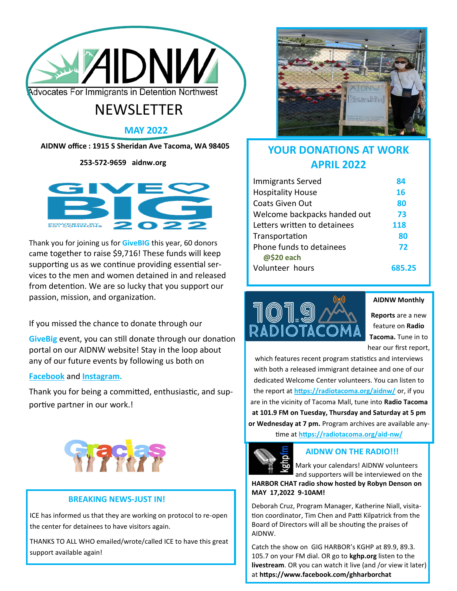

 **253-572-9659 aidnw.org**



Thank you for joining us for **GiveBIG** this year, 60 donors came together to raise \$9,716! These funds will keep supporting us as we continue providing essential services to the men and women detained in and released from detention. We are so lucky that you support our passion, mission, and organization.

If you missed the chance to donate through our

**GiveBig** event, you can still donate through our donation portal on our AIDNW website! Stay in the loop about any of our future events by following us both on

#### **[Facebook](https://www.facebook.com/aidnwtacoma)** and **[Instagram.](https://www.instagram.com/aidnwtacoma/)**

Thank you for being a committed, enthusiastic, and supportive partner in our work.!



#### **BREAKING NEWS-JUST IN!**

ICE has informed us that they are working on protocol to re-open the center for detainees to have visitors again.

THANKS TO ALL WHO emailed/wrote/called ICE to have this great support available again!



# **YOUR DONATIONS AT WORK APRIL 2022**

| <b>Immigrants Served</b>               | 84     |
|----------------------------------------|--------|
| <b>Hospitality House</b>               | 16     |
| Coats Given Out                        | 80     |
| Welcome backpacks handed out           | 73     |
| Letters written to detainees           | 118    |
| Transportation                         | 80     |
| Phone funds to detainees<br>@\$20 each | 72     |
| Volunteer hours                        | 685.25 |



**AIDNW Monthly** 

**Reports** are a new feature on **Radio Tacoma.** Tune in to hear our first report,

which features recent program statistics and interviews with both a released immigrant detainee and one of our dedicated Welcome Center volunteers. You can listen to the report at **[https://radiotacoma.org/aidnw/](https://radiotacoma.org/aid-nw/)** or, if you are in the vicinity of Tacoma Mall, tune into **Radio Tacoma at 101.9 FM on Tuesday, Thursday and Saturday at 5 pm or Wednesday at 7 pm.** Program archives are available any-

time at **[https://radiotacoma.org/aid](https://radiotacoma.org/aid-nw/)-nw/**



### **AIDNW ON THE RADIO!!!**

Mark your calendars! AIDNW volunteers and supporters will be interviewed on the

**HARBOR CHAT radio show hosted by Robyn Denson on MAY 17,2022 9-10AM!**

Deborah Cruz, Program Manager, Katherine Niall, visitation coordinator, Tim Chen and Patti Kilpatrick from the Board of Directors will all be shouting the praises of AIDNW.

Catch the show on GIG HARBOR's KGHP at 89.9, 89.3. 105.7 on your FM dial. OR go to **kghp.org** listen to the **livestream**. OR you can watch it live (and /or view it later) at **https://www.facebook.com/ghharborchat**